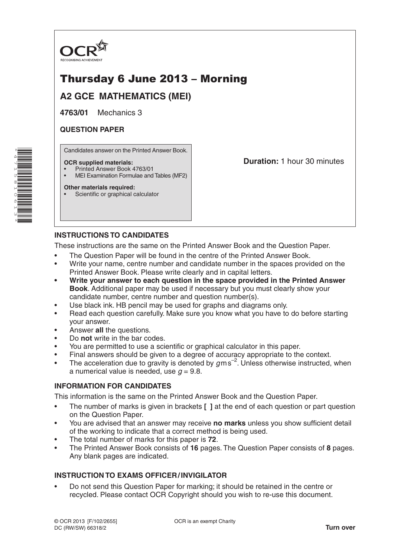

# Thursday 6 June 2013 – Morning

## **A2 GCE MATHEMATICS (MEI)**

**4763/01** Mechanics 3

## **QUESTION PAPER**

Candidates answer on the Printed Answer Book.

#### **OCR supplied materials:**

- Printed Answer Book 4763/01
- MEI Examination Formulae and Tables (MF2)

#### **Other materials required:**

• Scientific or graphical calculator

**Duration:** 1 hour 30 minutes

### **INSTRUCTIONS TO CANDIDATES**

These instructions are the same on the Printed Answer Book and the Question Paper.

- The Question Paper will be found in the centre of the Printed Answer Book.
- Write your name, centre number and candidate number in the spaces provided on the Printed Answer Book. Please write clearly and in capital letters.
- **• Write your answer to each question in the space provided in the Printed Answer Book**. Additional paper may be used if necessary but you must clearly show your candidate number, centre number and question number(s).
- Use black ink. HB pencil may be used for graphs and diagrams only.
- Read each question carefully. Make sure you know what you have to do before starting your answer.
- Answer **all** the questions.
- Do **not** write in the bar codes.
- You are permitted to use a scientific or graphical calculator in this paper.
- Final answers should be given to a degree of accuracy appropriate to the context.
- The acceleration due to gravity is denoted by  $g$ ms<sup>-2</sup>. Unless otherwise instructed, when a numerical value is needed, use  $q = 9.8$ .

#### **INFORMATION FOR CANDIDATES**

This information is the same on the Printed Answer Book and the Question Paper.

- The number of marks is given in brackets **[ ]** at the end of each question or part question on the Question Paper.
- You are advised that an answer may receive **no marks** unless you show sufficient detail of the working to indicate that a correct method is being used.
- The total number of marks for this paper is **72**.
- The Printed Answer Book consists of **16** pages. The Question Paper consists of **8** pages. Any blank pages are indicated.

#### **INSTRUCTION TO EXAMS OFFICER/INVIGILATOR**

• Do not send this Question Paper for marking; it should be retained in the centre or recycled. Please contact OCR Copyright should you wish to re-use this document.

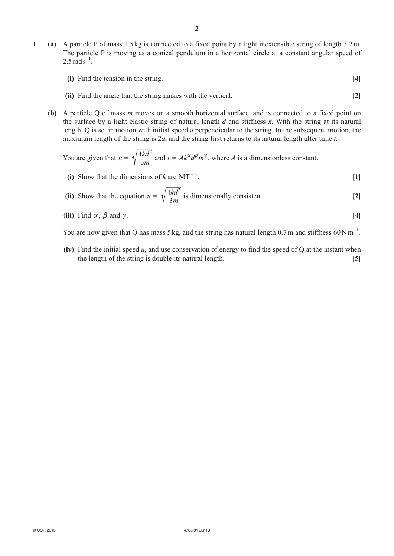- **1 (a)**  A particle P of mass 1.5kg is connected to a fixed point by a light inextensible string of length 3.2m. The particle P is moving as a conical pendulum in a horizontal circle at a constant angular speed of  $2.5 \,\text{rad}\,\text{s}^{-1}$ .
	- **(i)** Find the tension in the string. **[4]**
	- **(ii)** Find the angle that the string makes with the vertical. **[2]**
	- **(b)** A particle Q of mass *m* moves on a smooth horizontal surface, and is connected to a fixed point on the surface by a light elastic string of natural length *d* and stiffness *k*. With the string at its natural length, Q is set in motion with initial speed *u* perpendicular to the string. In the subsequent motion, the maximum length of the string is 2*d*, and the string first returns to its natural length after time *t*.

You are given that 
$$
u = \sqrt{\frac{4kd^2}{3m}}
$$
 and  $t = Ak^\alpha d^\beta m^\gamma$ , where A is a dimensionless constant.

**(i)** Show that the dimensions of *k* are MT<sup>-2</sup>.  $[1]$ 

(ii) Show that the equation 
$$
u = \sqrt{\frac{4kd^2}{3m}}
$$
 is dimensionally consistent.

(iii) Find  $\alpha$ ,  $\beta$  and  $\gamma$ . [4]

You are now given that Q has mass 5 kg, and the string has natural length  $0.7$  m and stiffness  $60 \text{ N m}^{-1}$ .

 $(iv)$  Find the initial speed  $u$ , and use conservation of energy to find the speed of Q at the instant when the length of the string is double its natural length. **[5]**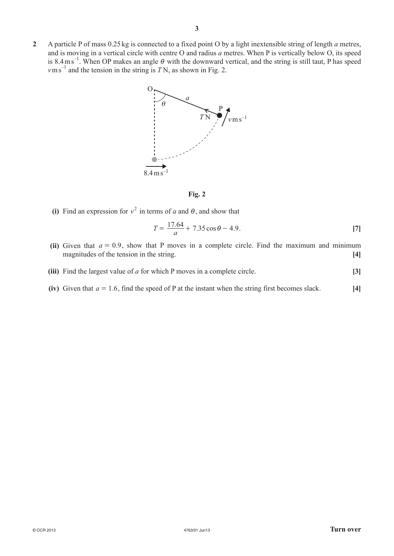**2**  A particle P of mass 0.25 kg is connected to a fixed point O by a light inextensible string of length *a* metres, and is moving in a vertical circle with centre O and radius *a* metres. When P is vertically below O, its speed is 8.4 m s<sup>-1</sup>. When OP makes an angle  $\theta$  with the downward vertical, and the string is still taut, P has speed  $v$ ms<sup>-1</sup> and the tension in the string is *T*N, as shown in Fig. 2.



**Fig. 2**

**(i)** Find an expression for  $v^2$  in terms of *a* and  $\theta$ , and show that

$$
T = \frac{17.64}{a} + 7.35 \cos \theta - 4.9.
$$
 [7]

- **(ii)** Given that  $a = 0.9$ , show that P moves in a complete circle. Find the maximum and minimum magnitudes of the tension in the string. **[4]**
- **(iii)** Find the largest value of *a* for which P moves in a complete circle. **[3]**
- **(iv)** Given that  $a = 1.6$ , find the speed of P at the instant when the string first becomes slack. **[4]**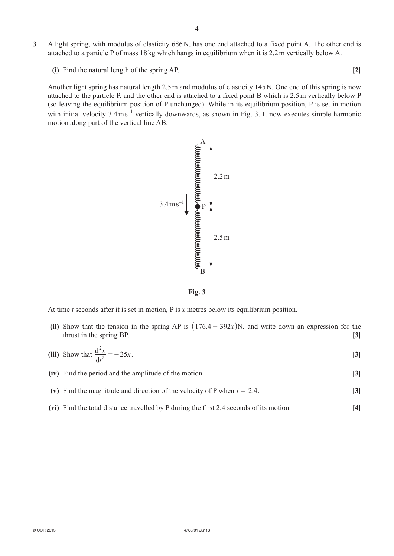**3**  A light spring, with modulus of elasticity 686N, has one end attached to a fixed point A. The other end is attached to a particle P of mass 18 kg which hangs in equilibrium when it is 2.2m vertically below A.

**(i)** Find the natural length of the spring AP. **[2]** 

Another light spring has natural length 2.5m and modulus of elasticity 145N. One end of this spring is now attached to the particle P, and the other end is attached to a fixed point B which is 2.5m vertically below P (so leaving the equilibrium position of P unchanged). While in its equilibrium position, P is set in motion with initial velocity  $3.4 \text{ m s}^{-1}$  vertically downwards, as shown in Fig. 3. It now executes simple harmonic motion along part of the vertical line AB.





At time *t* seconds after it is set in motion, P is *x* metres below its equilibrium position.

**(ii)** Show that the tension in the spring AP is  $(176.4 + 392x)N$ , and write down an expression for the thrust in the spring BP. **[3]**

(iii) Show that 
$$
\frac{d^2x}{dt^2} = -25x
$$
. [3]

- **(iv)** Find the period and the amplitude of the motion. **[3]**
- **(v)** Find the magnitude and direction of the velocity of P when  $t = 2.4$ . [3]
- **(vi)** Find the total distance travelled by P during the first 2.4 seconds of its motion. [4]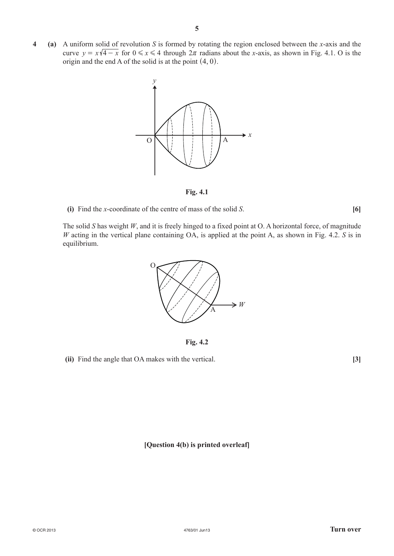**5**



**Fig. 4.1**

**(i)** Find the *x*-coordinate of the centre of mass of the solid *S*.  $[6]$ 

The solid *S* has weight *W*, and it is freely hinged to a fixed point at O. A horizontal force, of magnitude *W* acting in the vertical plane containing OA, is applied at the point A, as shown in Fig. 4.2. *S* is in equilibrium.





**(ii)** Find the angle that OA makes with the vertical. **[3]** 

## **[Question 4(b) is printed overleaf]**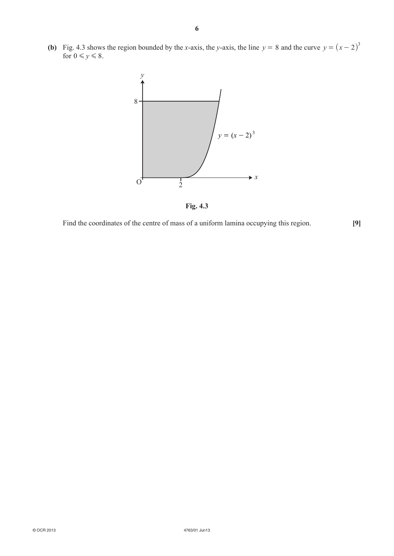**(b)** Fig. 4.3 shows the region bounded by the *x*-axis, the *y*-axis, the line  $y = 8$  and the curve  $y = (x - 2)^3$ for  $0 \leq y \leq 8$ .



**Fig. 4.3**

Find the coordinates of the centre of mass of a uniform lamina occupying this region. **[9]**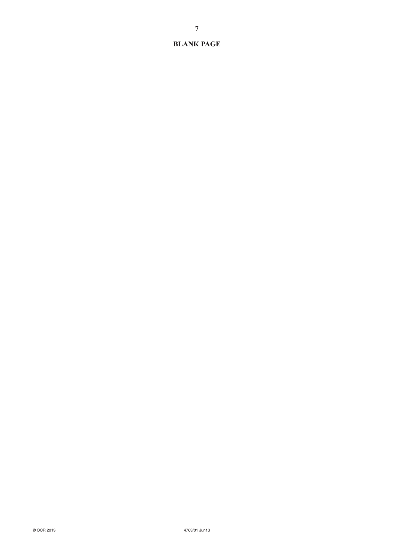#### **BLANK PAGE**